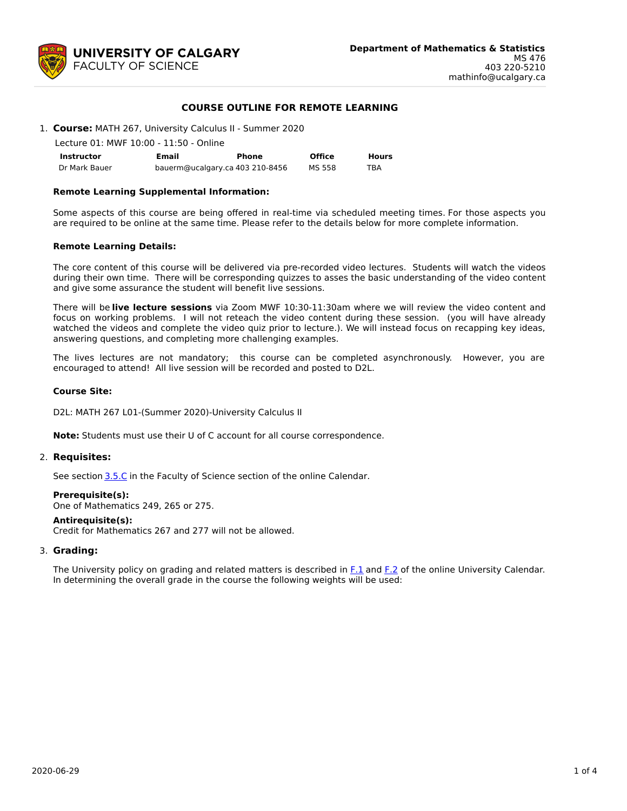

## **COURSE OUTLINE FOR REMOTE LEARNING**

1. **Course:** MATH 267, University Calculus II - Summer 2020

Lecture 01: MWF 10:00 - 11:50 - Online

| <b>Instructor</b> | Email                           | Phone | <b>Office</b> | <b>Hours</b> |
|-------------------|---------------------------------|-------|---------------|--------------|
| Dr Mark Bauer     | bauerm@ucalgary.ca 403 210-8456 |       | MS 558        | TBA          |

### **Remote Learning Supplemental Information:**

Some aspects of this course are being offered in real-time via scheduled meeting times. For those aspects you are required to be online at the same time. Please refer to the details below for more complete information.

### **Remote Learning Details:**

The core content of this course will be delivered via pre-recorded video lectures. Students will watch the videos during their own time. There will be corresponding quizzes to asses the basic understanding of the video content and give some assurance the student will benefit live sessions.

There will be **live lecture sessions** via Zoom MWF 10:30-11:30am where we will review the video content and focus on working problems. I will not reteach the video content during these session. (you will have already watched the videos and complete the video quiz prior to lecture.). We will instead focus on recapping key ideas, answering questions, and completing more challenging examples.

The lives lectures are not mandatory; this course can be completed asynchronously. However, you are encouraged to attend! All live session will be recorded and posted to D2L.

### **Course Site:**

D2L: MATH 267 L01-(Summer 2020)-University Calculus II

**Note:** Students must use their U of C account for all course correspondence.

### 2. **Requisites:**

See section [3.5.C](http://www.ucalgary.ca/pubs/calendar/current/sc-3-5.html) in the Faculty of Science section of the online Calendar.

### **Prerequisite(s):**

One of Mathematics 249, 265 or 275.

### **Antirequisite(s):**

Credit for Mathematics 267 and 277 will not be allowed.

### 3. **Grading:**

The University policy on grading and related matters is described in [F.1](http://www.ucalgary.ca/pubs/calendar/current/f-1.html) and [F.2](http://www.ucalgary.ca/pubs/calendar/current/f-2.html) of the online University Calendar. In determining the overall grade in the course the following weights will be used: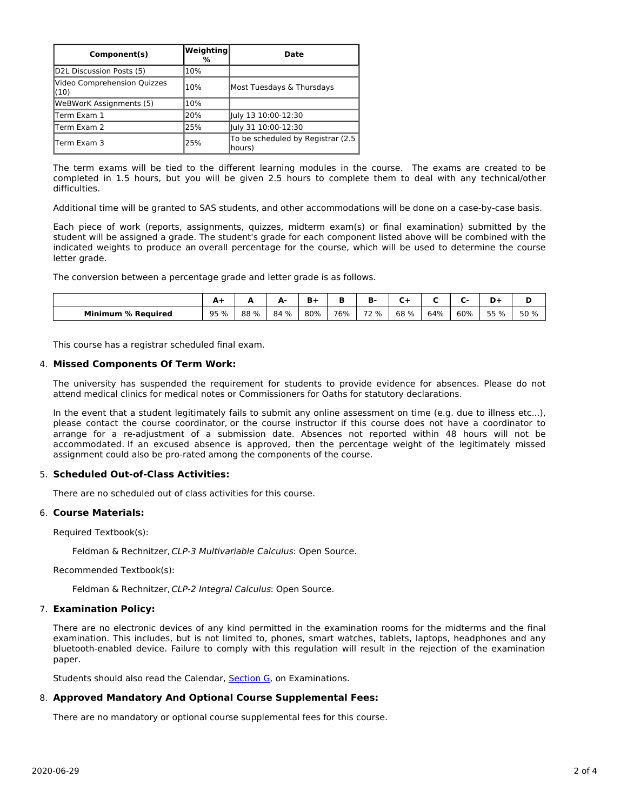| Component(s)                        | <b>Weighting</b><br>% | Date                                        |
|-------------------------------------|-----------------------|---------------------------------------------|
| D2L Discussion Posts (5)            | 10%                   |                                             |
| Video Comprehension Quizzes<br>(10) | 10%                   | Most Tuesdays & Thursdays                   |
| WeBWorK Assignments (5)             | 10%                   |                                             |
| lTerm Exam 1                        | 20%                   | July 13 10:00-12:30                         |
| lTerm Exam 2                        | 25%                   | July 31 10:00-12:30                         |
| lTerm Exam 3                        | 25%                   | To be scheduled by Registrar (2.5<br>hours) |

The term exams will be tied to the different learning modules in the course. The exams are created to be completed in 1.5 hours, but you will be given 2.5 hours to complete them to deal with any technical/other difficulties.

Additional time will be granted to SAS students, and other accommodations will be done on a case-by-case basis.

Each piece of work (reports, assignments, quizzes, midterm exam(s) or final examination) submitted by the student will be assigned a grade. The student's grade for each component listed above will be combined with the indicated weights to produce an overall percentage for the course, which will be used to determine the course letter grade.

The conversion between a percentage grade and letter grade is as follows.

|                                |      |      | Δ.<br>÷ | B+<br>- |     | --                            |      |     |     |      |      |
|--------------------------------|------|------|---------|---------|-----|-------------------------------|------|-----|-----|------|------|
| <b>Minimum</b><br>∣ % Reauired | 95 % | 88 % | 84 %    | 80%     | 76% | $\overline{\phantom{a}}$<br>% | 68 % | 64% | 60% | 55 % | 50 % |

This course has a registrar scheduled final exam.

### 4. **Missed Components Of Term Work:**

The university has suspended the requirement for students to provide evidence for absences. Please do not attend medical clinics for medical notes or Commissioners for Oaths for statutory declarations.

In the event that a student legitimately fails to submit any online assessment on time (e.g. due to illness etc...), please contact the course coordinator, or the course instructor if this course does not have a coordinator to arrange for a re-adjustment of a submission date. Absences not reported within 48 hours will not be accommodated. If an excused absence is approved, then the percentage weight of the legitimately missed assignment could also be pro-rated among the components of the course.

## 5. **Scheduled Out-of-Class Activities:**

There are no scheduled out of class activities for this course.

### 6. **Course Materials:**

Required Textbook(s):

Feldman & Rechnitzer, CLP-3 Multivariable Calculus: Open Source.

Recommended Textbook(s):

Feldman & Rechnitzer, CLP-2 Integral Calculus: Open Source.

### 7. **Examination Policy:**

There are no electronic devices of any kind permitted in the examination rooms for the midterms and the final examination. This includes, but is not limited to, phones, smart watches, tablets, laptops, headphones and any bluetooth-enabled device. Failure to comply with this regulation will result in the rejection of the examination paper.

Students should also read the Calendar, [Section](http://www.ucalgary.ca/pubs/calendar/current/g.html) G, on Examinations.

### 8. **Approved Mandatory And Optional Course Supplemental Fees:**

There are no mandatory or optional course supplemental fees for this course.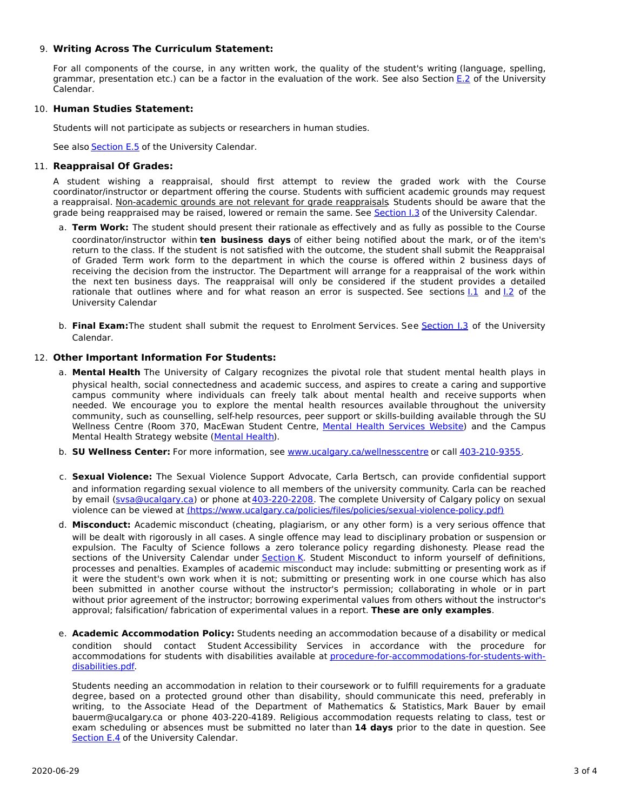# 9. **Writing Across The Curriculum Statement:**

For all components of the course, in any written work, the quality of the student's writing (language, spelling, grammar, presentation etc.) can be a factor in the evaluation of the work. See also Section [E.2](http://www.ucalgary.ca/pubs/calendar/current/e-2.html) of the University Calendar.

# 10. **Human Studies Statement:**

Students will not participate as subjects or researchers in human studies.

See also [Section](http://www.ucalgary.ca/pubs/calendar/current/e-5.html) E.5 of the University Calendar.

# 11. **Reappraisal Of Grades:**

A student wishing a reappraisal, should first attempt to review the graded work with the Course coordinator/instructor or department offering the course. Students with sufficient academic grounds may request a reappraisal. Non-academic grounds are not relevant for grade reappraisals. Students should be aware that the grade being reappraised may be raised, lowered or remain the same. See [Section](http://www.ucalgary.ca/pubs/calendar/current/i-3.html) I.3 of the University Calendar.

- a. **Term Work:** The student should present their rationale as effectively and as fully as possible to the Course coordinator/instructor within **ten business days** of either being notified about the mark, or of the item's return to the class. If the student is not satisfied with the outcome, the student shall submit the Reappraisal of Graded Term work form to the department in which the course is offered within 2 business days of receiving the decision from the instructor. The Department will arrange for a reappraisal of the work within the next ten business days. The reappraisal will only be considered if the student provides a detailed rationale that outlines where and for what reason an error is suspected. See sections [I.1](http://www.ucalgary.ca/pubs/calendar/current/i-1.html) and [I.2](http://www.ucalgary.ca/pubs/calendar/current/i-2.html) of the University Calendar
- b. **Final Exam:**The student shall submit the request to Enrolment Services. See [Section](http://www.ucalgary.ca/pubs/calendar/current/i-3.html) I.3 of the University Calendar.

# 12. **Other Important Information For Students:**

- a. **Mental Health** The University of Calgary recognizes the pivotal role that student mental health plays in physical health, social connectedness and academic success, and aspires to create a caring and supportive campus community where individuals can freely talk about mental health and receive supports when needed. We encourage you to explore the mental health resources available throughout the university community, such as counselling, self-help resources, peer support or skills-building available through the SU Wellness Centre (Room 370, MacEwan Student Centre, Mental Health [Services](https://www.ucalgary.ca/wellnesscentre/services/mental-health-services) Website) and the Campus Mental Health Strategy website [\(Mental](http://www.ucalgary.ca/mentalhealth) Health).
- b. **SU Wellness Center:** For more information, see [www.ucalgary.ca/wellnesscentre](http://www.ucalgary.ca/wellnesscentre) or call [403-210-9355](tel:4032109355).
- c. **Sexual Violence:** The Sexual Violence Support Advocate, Carla Bertsch, can provide confidential support and information regarding sexual violence to all members of the university community. Carla can be reached by email [\(svsa@ucalgary.ca](mailto:svsa@ucalgary.ca)) or phone at [403-220-2208](tel:4032202208). The complete University of Calgary policy on sexual violence can be viewed at [\(https://www.ucalgary.ca/policies/files/policies/sexual-violence-policy.pdf\)](https://www.ucalgary.ca/policies/files/policies/sexual-violence-policy.pdf)
- d. **Misconduct:** Academic misconduct (cheating, plagiarism, or any other form) is a very serious offence that will be dealt with rigorously in all cases. A single offence may lead to disciplinary probation or suspension or expulsion. The Faculty of Science follows a zero tolerance policy regarding dishonesty. Please read the sections of the University Calendar under [Section](http://www.ucalgary.ca/pubs/calendar/current/k.html) K. Student Misconduct to inform yourself of definitions, processes and penalties. Examples of academic misconduct may include: submitting or presenting work as if it were the student's own work when it is not; submitting or presenting work in one course which has also been submitted in another course without the instructor's permission; collaborating in whole or in part without prior agreement of the instructor; borrowing experimental values from others without the instructor's approval; falsification/ fabrication of experimental values in a report. **These are only examples**.
- e. **Academic Accommodation Policy:** Students needing an accommodation because of a disability or medical condition should contact Student Accessibility Services in accordance with the procedure for accommodations for students with disabilities available at [procedure-for-accommodations-for-students-with](http://www.ucalgary.ca/policies/files/policies/procedure-for-accommodations-for-students-with-disabilities_0.pdf)disabilities.pdf.

Students needing an accommodation in relation to their coursework or to fulfill requirements for a graduate degree, based on a protected ground other than disability, should communicate this need, preferably in writing, to the Associate Head of the Department of Mathematics & Statistics, Mark Bauer by email bauerm@ucalgary.ca or phone 403-220-4189. Religious accommodation requests relating to class, test or exam scheduling or absences must be submitted no later than **14 days** prior to the date in question. See [Section](http://www.ucalgary.ca/pubs/calendar/current/e-4.html) E.4 of the University Calendar.